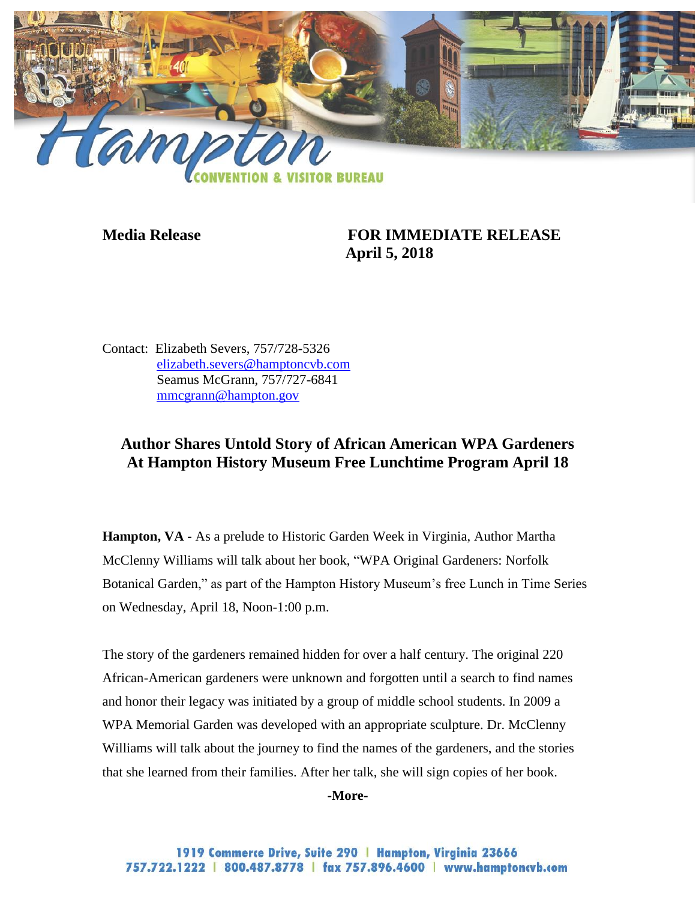

## **Media Release FOR IMMEDIATE RELEASE April 5, 2018**

Contact: Elizabeth Severs, 757/728-5326 [elizabeth.severs@hamptoncvb.com](mailto:elizabeth.severs@hamptoncvb.com) Seamus McGrann, 757/727-6841 [mmcgrann@hampton.gov](mailto:mmcgrann@hampton.gov)

# **Author Shares Untold Story of African American WPA Gardeners At Hampton History Museum Free Lunchtime Program April 18**

**Hampton, VA -** As a prelude to Historic Garden Week in Virginia, Author Martha McClenny Williams will talk about her book, "WPA Original Gardeners: Norfolk Botanical Garden," as part of the Hampton History Museum's free Lunch in Time Series on Wednesday, April 18, Noon-1:00 p.m.

The story of the gardeners remained hidden for over a half century. The original 220 African-American gardeners were unknown and forgotten until a search to find names and honor their legacy was initiated by a group of middle school students. In 2009 a WPA Memorial Garden was developed with an appropriate sculpture. Dr. McClenny Williams will talk about the journey to find the names of the gardeners, and the stories that she learned from their families. After her talk, she will sign copies of her book.

#### **-More-**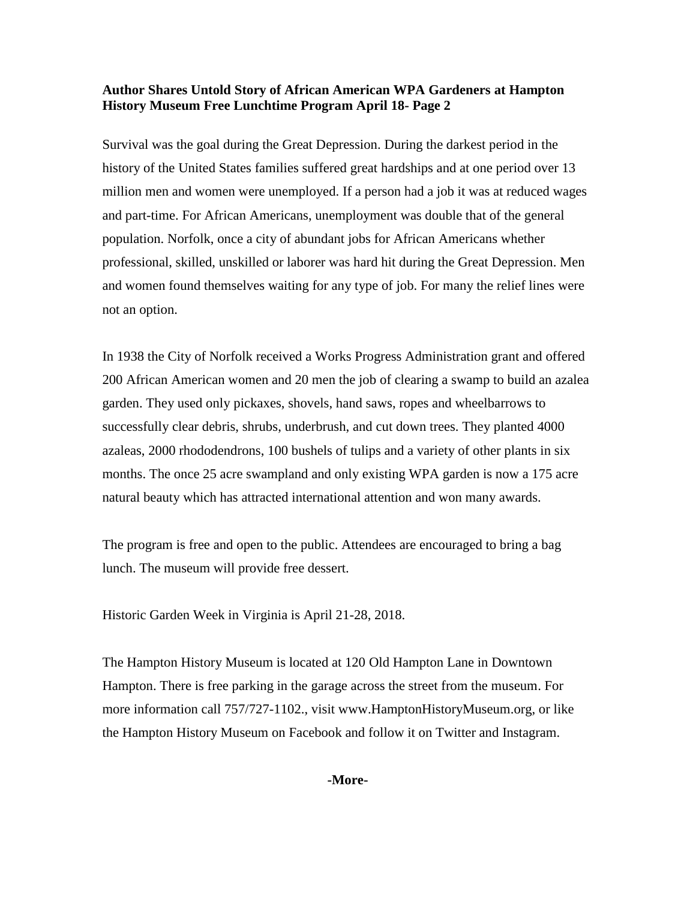#### **Author Shares Untold Story of African American WPA Gardeners at Hampton History Museum Free Lunchtime Program April 18- Page 2**

Survival was the goal during the Great Depression. During the darkest period in the history of the United States families suffered great hardships and at one period over 13 million men and women were unemployed. If a person had a job it was at reduced wages and part-time. For African Americans, unemployment was double that of the general population. Norfolk, once a city of abundant jobs for African Americans whether professional, skilled, unskilled or laborer was hard hit during the Great Depression. Men and women found themselves waiting for any type of job. For many the relief lines were not an option.

In 1938 the City of Norfolk received a Works Progress Administration grant and offered 200 African American women and 20 men the job of clearing a swamp to build an azalea garden. They used only pickaxes, shovels, hand saws, ropes and wheelbarrows to successfully clear debris, shrubs, underbrush, and cut down trees. They planted 4000 azaleas, 2000 rhododendrons, 100 bushels of tulips and a variety of other plants in six months. The once 25 acre swampland and only existing WPA garden is now a 175 acre natural beauty which has attracted international attention and won many awards.

The program is free and open to the public. Attendees are encouraged to bring a bag lunch. The museum will provide free dessert.

Historic Garden Week in Virginia is April 21-28, 2018.

The Hampton History Museum is located at 120 Old Hampton Lane in Downtown Hampton. There is free parking in the garage across the street from the museum. For more information call 757/727-1102., visit www.HamptonHistoryMuseum.org, or like the Hampton History Museum on Facebook and follow it on Twitter and Instagram.

**-More-**